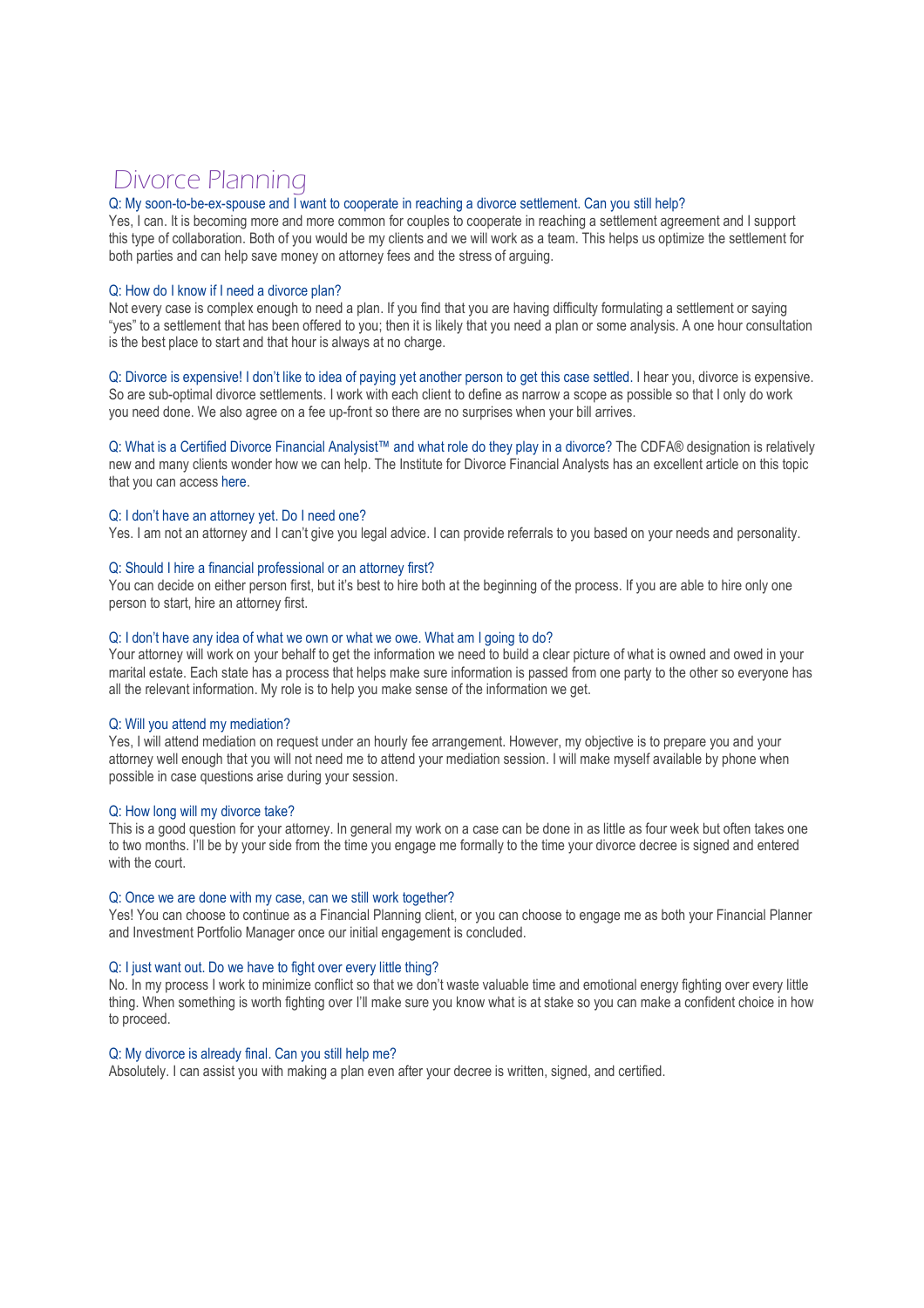# Divorce Planning

# Q: My soon-to-be-ex-spouse and I want to cooperate in reaching a divorce settlement. Can you still help?

Yes, I can. It is becoming more and more common for couples to cooperate in reaching a settlement agreement and I support this type of collaboration. Both of you would be my clients and we will work as a team. This helps us optimize the settlement for both parties and can help save money on attorney fees and the stress of arguing.

#### Q: How do I know if I need a divorce plan?

Not every case is complex enough to need a plan. If you find that you are having difficulty formulating a settlement or saying "yes" to a settlement that has been offered to you; then it is likely that you need a plan or some analysis. A one hour consultation is the best place to start and that hour is always at no charge.

Q: Divorce is expensive! I don't like to idea of paying yet another person to get this case settled. I hear you, divorce is expensive. So are sub-optimal divorce settlements. I work with each client to define as narrow a scope as possible so that I only do work you need done. We also agree on a fee up-front so there are no surprises when your bill arrives.

Q: What is a Certified Divorce Financial Analysist™ and what role do they play in a divorce? The CDFA® designation is relatively new and many clients wonder how we can help. The Institute for Divorce Financial Analysts has an excellent article on this topic that you can access here.

### Q: I don't have an attorney yet. Do I need one?

Yes. I am not an attorney and I can't give you legal advice. I can provide referrals to you based on your needs and personality.

### Q: Should I hire a financial professional or an attorney first?

You can decide on either person first, but it's best to hire both at the beginning of the process. If you are able to hire only one person to start, hire an attorney first.

#### Q: I don't have any idea of what we own or what we owe. What am I going to do?

Your attorney will work on your behalf to get the information we need to build a clear picture of what is owned and owed in your marital estate. Each state has a process that helps make sure information is passed from one party to the other so everyone has all the relevant information. My role is to help you make sense of the information we get.

## Q: Will you attend my mediation?

Yes, I will attend mediation on request under an hourly fee arrangement. However, my objective is to prepare you and your attorney well enough that you will not need me to attend your mediation session. I will make myself available by phone when possible in case questions arise during your session.

#### Q: How long will my divorce take?

This is a good question for your attorney. In general my work on a case can be done in as little as four week but often takes one to two months. I'll be by your side from the time you engage me formally to the time your divorce decree is signed and entered with the court.

#### Q: Once we are done with my case, can we still work together?

Yes! You can choose to continue as a Financial Planning client, or you can choose to engage me as both your Financial Planner and Investment Portfolio Manager once our initial engagement is concluded.

#### Q: I just want out. Do we have to fight over every little thing?

No. In my process I work to minimize conflict so that we don't waste valuable time and emotional energy fighting over every little thing. When something is worth fighting over I'll make sure you know what is at stake so you can make a confident choice in how to proceed.

#### Q: My divorce is already final. Can you still help me?

Absolutely. I can assist you with making a plan even after your decree is written, signed, and certified.